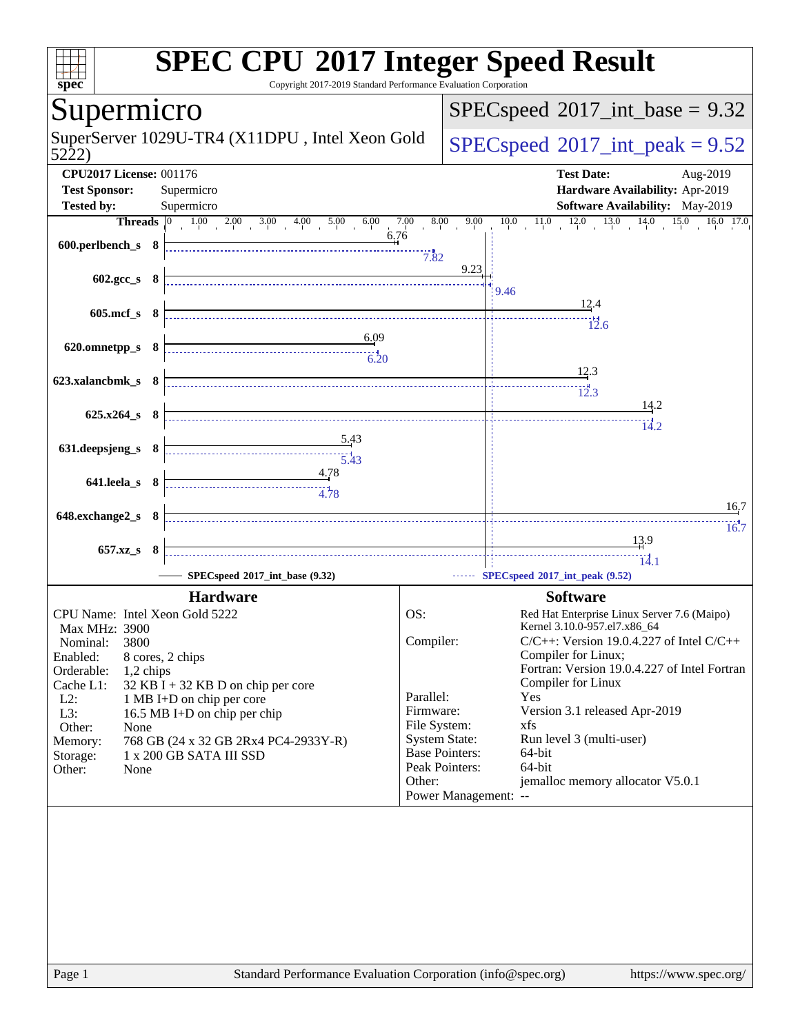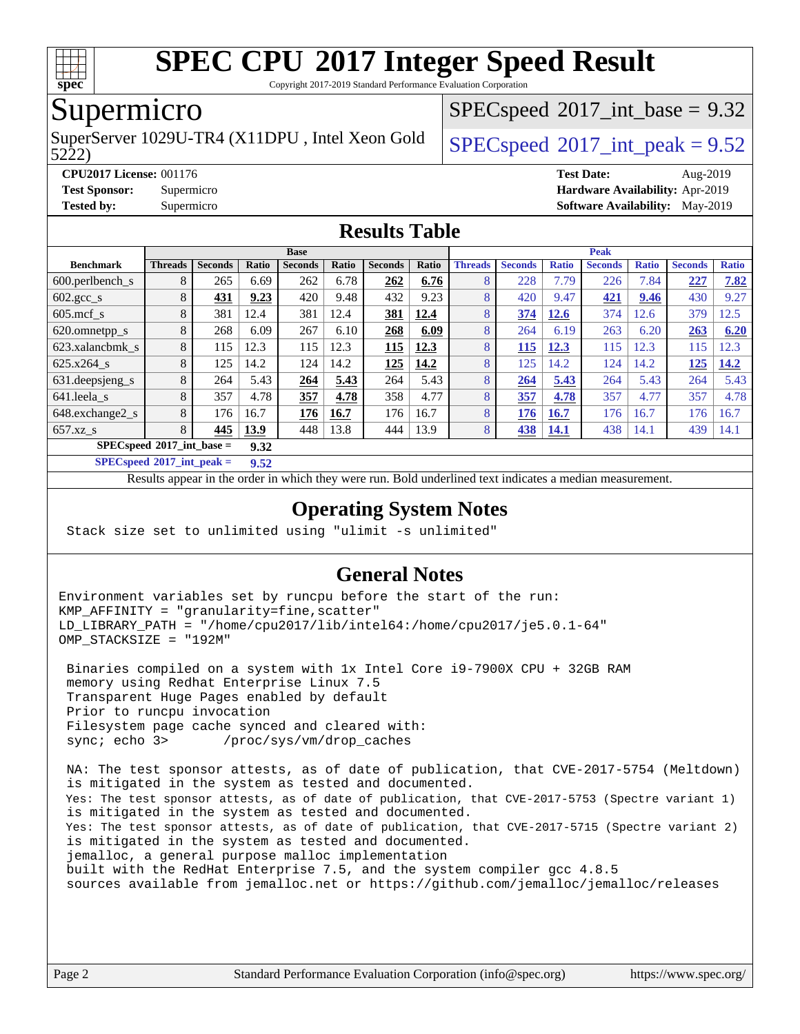

Copyright 2017-2019 Standard Performance Evaluation Corporation

### Supermicro

SuperServer 1029U-TR4 (X11DPU, Intel Xeon Gold  $\big|$  [SPECspeed](http://www.spec.org/auto/cpu2017/Docs/result-fields.html#SPECspeed2017intpeak)<sup>®</sup>[2017\\_int\\_peak = 9](http://www.spec.org/auto/cpu2017/Docs/result-fields.html#SPECspeed2017intpeak).52

 $SPECspeed^{\circ}2017\_int\_base = 9.32$  $SPECspeed^{\circ}2017\_int\_base = 9.32$ 

5222)

#### **[CPU2017 License:](http://www.spec.org/auto/cpu2017/Docs/result-fields.html#CPU2017License)** 001176 **[Test Date:](http://www.spec.org/auto/cpu2017/Docs/result-fields.html#TestDate)** Aug-2019 **[Test Sponsor:](http://www.spec.org/auto/cpu2017/Docs/result-fields.html#TestSponsor)** Supermicro **[Hardware Availability:](http://www.spec.org/auto/cpu2017/Docs/result-fields.html#HardwareAvailability)** Apr-2019 **[Tested by:](http://www.spec.org/auto/cpu2017/Docs/result-fields.html#Testedby)** Supermicro **[Software Availability:](http://www.spec.org/auto/cpu2017/Docs/result-fields.html#SoftwareAvailability)** May-2019

#### **[Results Table](http://www.spec.org/auto/cpu2017/Docs/result-fields.html#ResultsTable)**

|                                     | <b>Base</b>    |                |       |                |       |                | Peak  |                |                |              |                |              |                |              |
|-------------------------------------|----------------|----------------|-------|----------------|-------|----------------|-------|----------------|----------------|--------------|----------------|--------------|----------------|--------------|
| <b>Benchmark</b>                    | <b>Threads</b> | <b>Seconds</b> | Ratio | <b>Seconds</b> | Ratio | <b>Seconds</b> | Ratio | <b>Threads</b> | <b>Seconds</b> | <b>Ratio</b> | <b>Seconds</b> | <b>Ratio</b> | <b>Seconds</b> | <b>Ratio</b> |
| 600.perlbench s                     | 8              | 265            | 6.69  | 262            | 6.78  | 262            | 6.76  | 8              | 228            | 7.79         | 226            | 7.84         | 227            | 7.82         |
| $602 \text{.} \text{gcc}\text{.}$ s | 8              | 431            | 9.23  | 420            | 9.48  | 432            | 9.23  | 8              | 420            | 9.47         | 421            | 9.46         | 430            | 9.27         |
| $605$ .mcf s                        | 8              | 381            | 12.4  | 381            | 12.4  | 381            | 12.4  | 8              | 374            | 12.6         | 374            | 12.6         | 379            | 12.5         |
| 620.omnetpp_s                       | 8              | 268            | 6.09  | 267            | 6.10  | 268            | 6.09  | 8              | 264            | 6.19         | 263            | 6.20         | 263            | 6.20         |
| 623.xalancbmk s                     | 8              | 115            | 12.3  | 115            | 12.3  | 115            | 12.3  | 8              | 115            | 12.3         | 115            | 12.3         | 115            | 12.3         |
| 625.x264 s                          | 8              | 125            | 14.2  | 124            | 14.2  | 125            | 14.2  | 8              | 125            | 14.2         | 124            | 14.2         | 125            | 14.2         |
| 631.deepsjeng_s                     | 8              | 264            | 5.43  | 264            | 5.43  | 264            | 5.43  | 8              | 264            | 5.43         | 264            | 5.43         | 264            | 5.43         |
| 641.leela_s                         | 8              | 357            | 4.78  | 357            | 4.78  | 358            | 4.77  | 8              | 357            | 4.78         | 357            | 4.77         | 357            | 4.78         |
| 648.exchange2_s                     | 8              | 176            | 16.7  | 176            | 16.7  | 176            | 16.7  | 8              | 176            | 16.7         | 176            | 16.7         | 176            | 16.7         |
| $657.xz$ s                          | 8              | 445            | 13.9  | 448            | 13.8  | 444            | 13.9  | 8              | 438            | 14.1         | 438            | 14.1         | 439            | 14.1         |
| $SPECspeed*2017$ int base =<br>9.32 |                |                |       |                |       |                |       |                |                |              |                |              |                |              |

**[SPECspeed](http://www.spec.org/auto/cpu2017/Docs/result-fields.html#SPECspeed2017intpeak)[2017\\_int\\_peak =](http://www.spec.org/auto/cpu2017/Docs/result-fields.html#SPECspeed2017intpeak) 9.52**

Results appear in the [order in which they were run.](http://www.spec.org/auto/cpu2017/Docs/result-fields.html#RunOrder) Bold underlined text [indicates a median measurement](http://www.spec.org/auto/cpu2017/Docs/result-fields.html#Median).

### **[Operating System Notes](http://www.spec.org/auto/cpu2017/Docs/result-fields.html#OperatingSystemNotes)**

Stack size set to unlimited using "ulimit -s unlimited"

### **[General Notes](http://www.spec.org/auto/cpu2017/Docs/result-fields.html#GeneralNotes)**

Environment variables set by runcpu before the start of the run: KMP\_AFFINITY = "granularity=fine,scatter" LD\_LIBRARY\_PATH = "/home/cpu2017/lib/intel64:/home/cpu2017/je5.0.1-64" OMP\_STACKSIZE = "192M"

 Binaries compiled on a system with 1x Intel Core i9-7900X CPU + 32GB RAM memory using Redhat Enterprise Linux 7.5 Transparent Huge Pages enabled by default Prior to runcpu invocation Filesystem page cache synced and cleared with: sync; echo 3> /proc/sys/vm/drop\_caches

 NA: The test sponsor attests, as of date of publication, that CVE-2017-5754 (Meltdown) is mitigated in the system as tested and documented. Yes: The test sponsor attests, as of date of publication, that CVE-2017-5753 (Spectre variant 1) is mitigated in the system as tested and documented. Yes: The test sponsor attests, as of date of publication, that CVE-2017-5715 (Spectre variant 2) is mitigated in the system as tested and documented. jemalloc, a general purpose malloc implementation built with the RedHat Enterprise 7.5, and the system compiler gcc 4.8.5 sources available from jemalloc.net or<https://github.com/jemalloc/jemalloc/releases>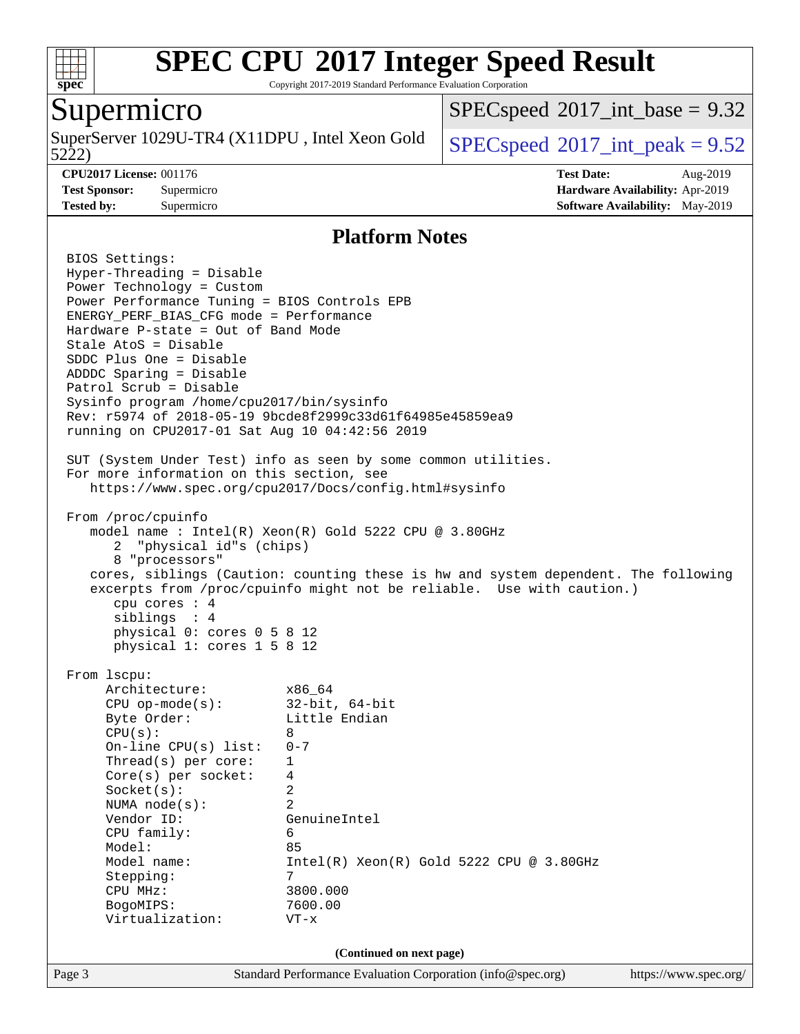

Copyright 2017-2019 Standard Performance Evaluation Corporation

### Supermicro

5222) SuperServer 1029U-TR4 (X11DPU, Intel Xeon Gold  $\big|$  [SPECspeed](http://www.spec.org/auto/cpu2017/Docs/result-fields.html#SPECspeed2017intpeak)<sup>®</sup>[2017\\_int\\_peak = 9](http://www.spec.org/auto/cpu2017/Docs/result-fields.html#SPECspeed2017intpeak).52

 $SPECspeed^{\circ}2017\_int\_base = 9.32$  $SPECspeed^{\circ}2017\_int\_base = 9.32$ 

**[CPU2017 License:](http://www.spec.org/auto/cpu2017/Docs/result-fields.html#CPU2017License)** 001176 **[Test Date:](http://www.spec.org/auto/cpu2017/Docs/result-fields.html#TestDate)** Aug-2019 **[Test Sponsor:](http://www.spec.org/auto/cpu2017/Docs/result-fields.html#TestSponsor)** Supermicro **[Hardware Availability:](http://www.spec.org/auto/cpu2017/Docs/result-fields.html#HardwareAvailability)** Apr-2019 **[Tested by:](http://www.spec.org/auto/cpu2017/Docs/result-fields.html#Testedby)** Supermicro **[Software Availability:](http://www.spec.org/auto/cpu2017/Docs/result-fields.html#SoftwareAvailability)** May-2019

#### **[Platform Notes](http://www.spec.org/auto/cpu2017/Docs/result-fields.html#PlatformNotes)**

Page 3 Standard Performance Evaluation Corporation [\(info@spec.org\)](mailto:info@spec.org) <https://www.spec.org/> BIOS Settings: Hyper-Threading = Disable Power Technology = Custom Power Performance Tuning = BIOS Controls EPB ENERGY\_PERF\_BIAS\_CFG mode = Performance Hardware P-state = Out of Band Mode Stale AtoS = Disable SDDC Plus One = Disable ADDDC Sparing = Disable Patrol Scrub = Disable Sysinfo program /home/cpu2017/bin/sysinfo Rev: r5974 of 2018-05-19 9bcde8f2999c33d61f64985e45859ea9 running on CPU2017-01 Sat Aug 10 04:42:56 2019 SUT (System Under Test) info as seen by some common utilities. For more information on this section, see <https://www.spec.org/cpu2017/Docs/config.html#sysinfo> From /proc/cpuinfo model name : Intel(R) Xeon(R) Gold 5222 CPU @ 3.80GHz 2 "physical id"s (chips) 8 "processors" cores, siblings (Caution: counting these is hw and system dependent. The following excerpts from /proc/cpuinfo might not be reliable. Use with caution.) cpu cores : 4 siblings : 4 physical 0: cores 0 5 8 12 physical 1: cores 1 5 8 12 From lscpu: Architecture: x86\_64 CPU op-mode(s): 32-bit, 64-bit Byte Order: Little Endian  $CPU(s): 8$  On-line CPU(s) list: 0-7 Thread(s) per core: 1 Core(s) per socket: 4 Socket(s): 2 NUMA node(s): 2 Vendor ID: GenuineIntel CPU family: 6 Model: 85 Model name:  $Intel(R)$  Xeon(R) Gold 5222 CPU @ 3.80GHz Stepping: 7 CPU MHz: 3800.000 BogoMIPS: 7600.00 Virtualization: VT-x **(Continued on next page)**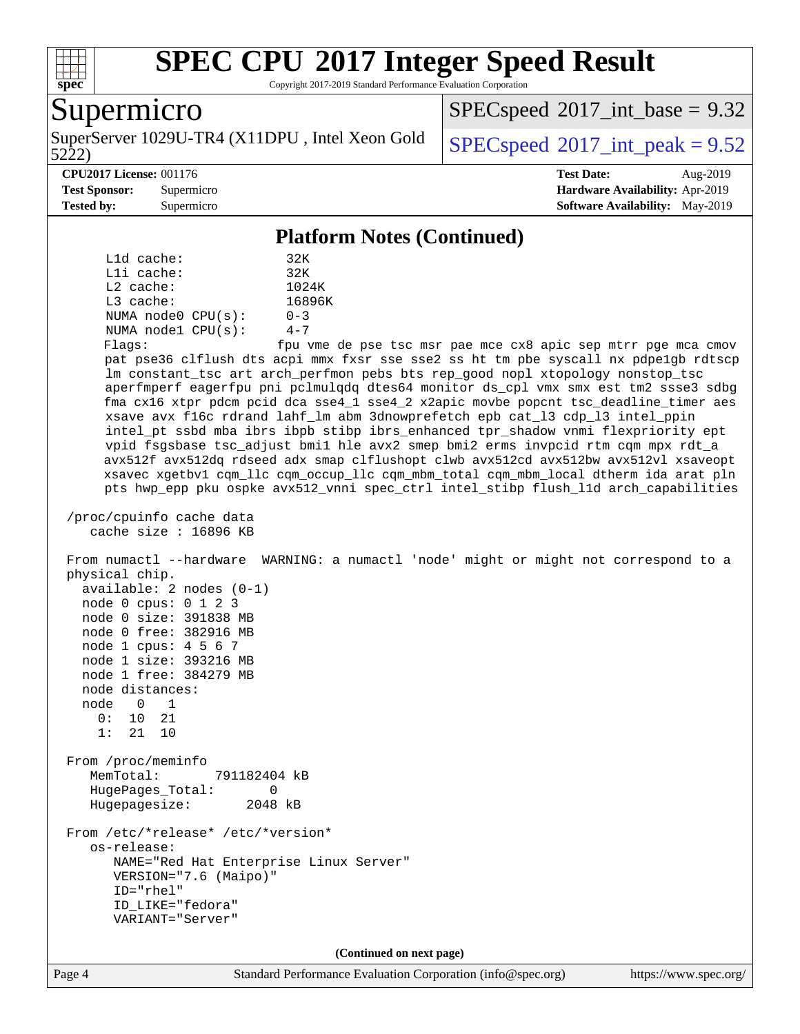

Copyright 2017-2019 Standard Performance Evaluation Corporation

### Supermicro

5222) SuperServer 1029U-TR4 (X11DPU, Intel Xeon Gold  $SPECspeed@2017$  $SPECspeed@2017$  int peak = 9.52

 $SPECspeed^{\circ}2017\_int\_base = 9.32$  $SPECspeed^{\circ}2017\_int\_base = 9.32$ 

#### **[CPU2017 License:](http://www.spec.org/auto/cpu2017/Docs/result-fields.html#CPU2017License)** 001176 **[Test Date:](http://www.spec.org/auto/cpu2017/Docs/result-fields.html#TestDate)** Aug-2019

**[Test Sponsor:](http://www.spec.org/auto/cpu2017/Docs/result-fields.html#TestSponsor)** Supermicro **[Hardware Availability:](http://www.spec.org/auto/cpu2017/Docs/result-fields.html#HardwareAvailability)** Apr-2019 **[Tested by:](http://www.spec.org/auto/cpu2017/Docs/result-fields.html#Testedby)** Supermicro **[Software Availability:](http://www.spec.org/auto/cpu2017/Docs/result-fields.html#SoftwareAvailability)** May-2019

#### **[Platform Notes \(Continued\)](http://www.spec.org/auto/cpu2017/Docs/result-fields.html#PlatformNotes)**

| $L1d$ cache:       | 32K     |  |  |  |
|--------------------|---------|--|--|--|
| $L1i$ cache:       | 32K     |  |  |  |
| $L2$ cache:        | 1024K   |  |  |  |
| $L3$ cache:        | 16896K  |  |  |  |
| NUMA node0 CPU(s): | $0 - 3$ |  |  |  |
| NUMA nodel CPU(s): | $4 - 7$ |  |  |  |

Flags: fpu vme de pse tsc msr pae mce cx8 apic sep mtrr pge mca cmov pat pse36 clflush dts acpi mmx fxsr sse sse2 ss ht tm pbe syscall nx pdpe1gb rdtscp lm constant\_tsc art arch\_perfmon pebs bts rep\_good nopl xtopology nonstop\_tsc aperfmperf eagerfpu pni pclmulqdq dtes64 monitor ds\_cpl vmx smx est tm2 ssse3 sdbg fma cx16 xtpr pdcm pcid dca sse4\_1 sse4\_2 x2apic movbe popcnt tsc\_deadline\_timer aes xsave avx f16c rdrand lahf\_lm abm 3dnowprefetch epb cat\_l3 cdp\_l3 intel\_ppin intel\_pt ssbd mba ibrs ibpb stibp ibrs\_enhanced tpr\_shadow vnmi flexpriority ept vpid fsgsbase tsc\_adjust bmi1 hle avx2 smep bmi2 erms invpcid rtm cqm mpx rdt\_a avx512f avx512dq rdseed adx smap clflushopt clwb avx512cd avx512bw avx512vl xsaveopt xsavec xgetbv1 cqm\_llc cqm\_occup\_llc cqm\_mbm\_total cqm\_mbm\_local dtherm ida arat pln pts hwp\_epp pku ospke avx512\_vnni spec\_ctrl intel\_stibp flush\_l1d arch\_capabilities

 /proc/cpuinfo cache data cache size : 16896 KB

 From numactl --hardware WARNING: a numactl 'node' might or might not correspond to a physical chip. available: 2 nodes (0-1) node 0 cpus: 0 1 2 3 node 0 size: 391838 MB node 0 free: 382916 MB node 1 cpus: 4 5 6 7 node 1 size: 393216 MB node 1 free: 384279 MB node distances:

 node 0 1 0: 10 21

 1: 21 10 From /proc/meminfo MemTotal: 791182404 kB

 HugePages\_Total: 0 Hugepagesize: 2048 kB

 From /etc/\*release\* /etc/\*version\* os-release: NAME="Red Hat Enterprise Linux Server" VERSION="7.6 (Maipo)" ID="rhel" ID\_LIKE="fedora" VARIANT="Server"

**(Continued on next page)**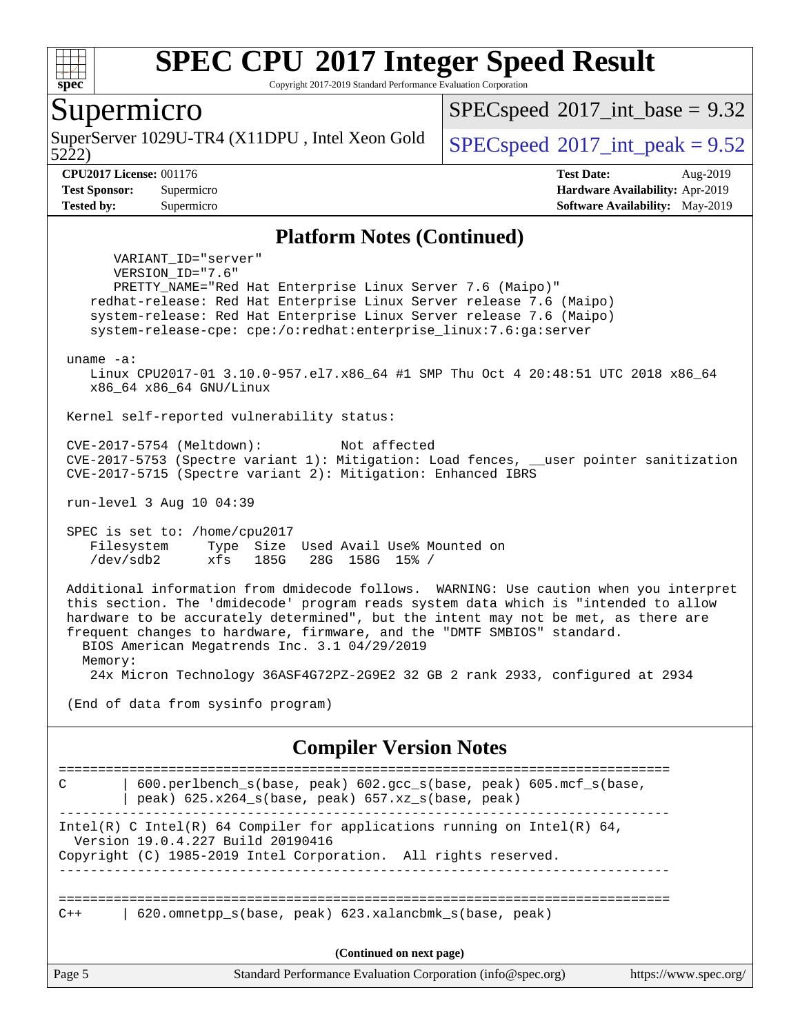

Copyright 2017-2019 Standard Performance Evaluation Corporation

### Supermicro

SuperServer 1029U-TR4 (X11DPU, Intel Xeon Gold  $\big|$  [SPECspeed](http://www.spec.org/auto/cpu2017/Docs/result-fields.html#SPECspeed2017intpeak)<sup>®</sup>[2017\\_int\\_peak = 9](http://www.spec.org/auto/cpu2017/Docs/result-fields.html#SPECspeed2017intpeak).52

 $SPECspeed^{\circ}2017\_int\_base = 9.32$  $SPECspeed^{\circ}2017\_int\_base = 9.32$ 

#### 5222) **[CPU2017 License:](http://www.spec.org/auto/cpu2017/Docs/result-fields.html#CPU2017License)** 001176 **[Test Date:](http://www.spec.org/auto/cpu2017/Docs/result-fields.html#TestDate)** Aug-2019

**[Test Sponsor:](http://www.spec.org/auto/cpu2017/Docs/result-fields.html#TestSponsor)** Supermicro **[Hardware Availability:](http://www.spec.org/auto/cpu2017/Docs/result-fields.html#HardwareAvailability)** Apr-2019 **[Tested by:](http://www.spec.org/auto/cpu2017/Docs/result-fields.html#Testedby)** Supermicro **[Software Availability:](http://www.spec.org/auto/cpu2017/Docs/result-fields.html#SoftwareAvailability)** May-2019

#### **[Platform Notes \(Continued\)](http://www.spec.org/auto/cpu2017/Docs/result-fields.html#PlatformNotes)**

 VARIANT\_ID="server" VERSION\_ID="7.6" PRETTY\_NAME="Red Hat Enterprise Linux Server 7.6 (Maipo)" redhat-release: Red Hat Enterprise Linux Server release 7.6 (Maipo) system-release: Red Hat Enterprise Linux Server release 7.6 (Maipo) system-release-cpe: cpe:/o:redhat:enterprise\_linux:7.6:ga:server

uname -a:

 Linux CPU2017-01 3.10.0-957.el7.x86\_64 #1 SMP Thu Oct 4 20:48:51 UTC 2018 x86\_64 x86\_64 x86\_64 GNU/Linux

Kernel self-reported vulnerability status:

 CVE-2017-5754 (Meltdown): Not affected CVE-2017-5753 (Spectre variant 1): Mitigation: Load fences, \_\_user pointer sanitization CVE-2017-5715 (Spectre variant 2): Mitigation: Enhanced IBRS

run-level 3 Aug 10 04:39

 SPEC is set to: /home/cpu2017 Filesystem Type Size Used Avail Use% Mounted on /dev/sdb2 xfs 185G 28G 158G 15% /

 Additional information from dmidecode follows. WARNING: Use caution when you interpret this section. The 'dmidecode' program reads system data which is "intended to allow hardware to be accurately determined", but the intent may not be met, as there are frequent changes to hardware, firmware, and the "DMTF SMBIOS" standard. BIOS American Megatrends Inc. 3.1 04/29/2019

Memory:

24x Micron Technology 36ASF4G72PZ-2G9E2 32 GB 2 rank 2933, configured at 2934

(End of data from sysinfo program)

#### **[Compiler Version Notes](http://www.spec.org/auto/cpu2017/Docs/result-fields.html#CompilerVersionNotes)**

Page 5 Standard Performance Evaluation Corporation [\(info@spec.org\)](mailto:info@spec.org) <https://www.spec.org/> ============================================================================== C | 600.perlbench\_s(base, peak) 602.gcc\_s(base, peak) 605.mcf\_s(base, | peak) 625.x264\_s(base, peak) 657.xz\_s(base, peak) ------------------------------------------------------------------------------ Intel(R) C Intel(R) 64 Compiler for applications running on Intel(R)  $64$ , Version 19.0.4.227 Build 20190416 Copyright (C) 1985-2019 Intel Corporation. All rights reserved. ------------------------------------------------------------------------------ ============================================================================== C++ | 620.omnetpp\_s(base, peak) 623.xalancbmk\_s(base, peak) **(Continued on next page)**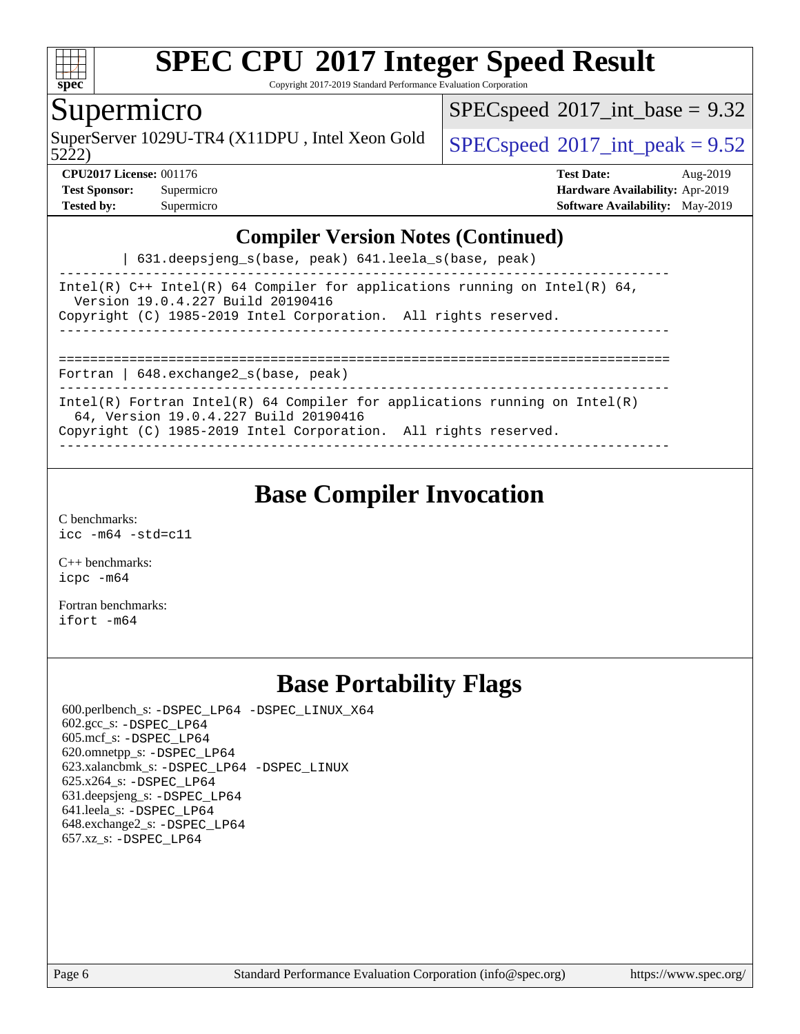

Copyright 2017-2019 Standard Performance Evaluation Corporation

### Supermicro

 $SPECspeed^{\circ}2017\_int\_base = 9.32$  $SPECspeed^{\circ}2017\_int\_base = 9.32$ 

5222)

SuperServer 1029U-TR4 (X11DPU, Intel Xeon Gold  $\big|$  [SPECspeed](http://www.spec.org/auto/cpu2017/Docs/result-fields.html#SPECspeed2017intpeak)<sup>®</sup>[2017\\_int\\_peak = 9](http://www.spec.org/auto/cpu2017/Docs/result-fields.html#SPECspeed2017intpeak).52

**[Test Sponsor:](http://www.spec.org/auto/cpu2017/Docs/result-fields.html#TestSponsor)** Supermicro **[Hardware Availability:](http://www.spec.org/auto/cpu2017/Docs/result-fields.html#HardwareAvailability)** Apr-2019

**[CPU2017 License:](http://www.spec.org/auto/cpu2017/Docs/result-fields.html#CPU2017License)** 001176 **[Test Date:](http://www.spec.org/auto/cpu2017/Docs/result-fields.html#TestDate)** Aug-2019 **[Tested by:](http://www.spec.org/auto/cpu2017/Docs/result-fields.html#Testedby)** Supermicro **[Software Availability:](http://www.spec.org/auto/cpu2017/Docs/result-fields.html#SoftwareAvailability)** May-2019

#### **[Compiler Version Notes \(Continued\)](http://www.spec.org/auto/cpu2017/Docs/result-fields.html#CompilerVersionNotes)**

| 631.deepsjeng\_s(base, peak) 641.leela\_s(base, peak)

------------------------------------------------------------------------------ Intel(R)  $C++$  Intel(R) 64 Compiler for applications running on Intel(R) 64, Version 19.0.4.227 Build 20190416 Copyright (C) 1985-2019 Intel Corporation. All rights reserved. ------------------------------------------------------------------------------ ==============================================================================

Fortran | 648.exchange2\_s(base, peak)

------------------------------------------------------------------------------ Intel(R) Fortran Intel(R) 64 Compiler for applications running on Intel(R)

64, Version 19.0.4.227 Build 20190416

Copyright (C) 1985-2019 Intel Corporation. All rights reserved. ------------------------------------------------------------------------------

# **[Base Compiler Invocation](http://www.spec.org/auto/cpu2017/Docs/result-fields.html#BaseCompilerInvocation)**

[C benchmarks](http://www.spec.org/auto/cpu2017/Docs/result-fields.html#Cbenchmarks): [icc -m64 -std=c11](http://www.spec.org/cpu2017/results/res2019q3/cpu2017-20190819-17116.flags.html#user_CCbase_intel_icc_64bit_c11_33ee0cdaae7deeeab2a9725423ba97205ce30f63b9926c2519791662299b76a0318f32ddfffdc46587804de3178b4f9328c46fa7c2b0cd779d7a61945c91cd35)

[C++ benchmarks:](http://www.spec.org/auto/cpu2017/Docs/result-fields.html#CXXbenchmarks) [icpc -m64](http://www.spec.org/cpu2017/results/res2019q3/cpu2017-20190819-17116.flags.html#user_CXXbase_intel_icpc_64bit_4ecb2543ae3f1412ef961e0650ca070fec7b7afdcd6ed48761b84423119d1bf6bdf5cad15b44d48e7256388bc77273b966e5eb805aefd121eb22e9299b2ec9d9)

[Fortran benchmarks](http://www.spec.org/auto/cpu2017/Docs/result-fields.html#Fortranbenchmarks): [ifort -m64](http://www.spec.org/cpu2017/results/res2019q3/cpu2017-20190819-17116.flags.html#user_FCbase_intel_ifort_64bit_24f2bb282fbaeffd6157abe4f878425411749daecae9a33200eee2bee2fe76f3b89351d69a8130dd5949958ce389cf37ff59a95e7a40d588e8d3a57e0c3fd751)

# **[Base Portability Flags](http://www.spec.org/auto/cpu2017/Docs/result-fields.html#BasePortabilityFlags)**

 600.perlbench\_s: [-DSPEC\\_LP64](http://www.spec.org/cpu2017/results/res2019q3/cpu2017-20190819-17116.flags.html#b600.perlbench_s_basePORTABILITY_DSPEC_LP64) [-DSPEC\\_LINUX\\_X64](http://www.spec.org/cpu2017/results/res2019q3/cpu2017-20190819-17116.flags.html#b600.perlbench_s_baseCPORTABILITY_DSPEC_LINUX_X64) 602.gcc\_s: [-DSPEC\\_LP64](http://www.spec.org/cpu2017/results/res2019q3/cpu2017-20190819-17116.flags.html#suite_basePORTABILITY602_gcc_s_DSPEC_LP64) 605.mcf\_s: [-DSPEC\\_LP64](http://www.spec.org/cpu2017/results/res2019q3/cpu2017-20190819-17116.flags.html#suite_basePORTABILITY605_mcf_s_DSPEC_LP64) 620.omnetpp\_s: [-DSPEC\\_LP64](http://www.spec.org/cpu2017/results/res2019q3/cpu2017-20190819-17116.flags.html#suite_basePORTABILITY620_omnetpp_s_DSPEC_LP64) 623.xalancbmk\_s: [-DSPEC\\_LP64](http://www.spec.org/cpu2017/results/res2019q3/cpu2017-20190819-17116.flags.html#suite_basePORTABILITY623_xalancbmk_s_DSPEC_LP64) [-DSPEC\\_LINUX](http://www.spec.org/cpu2017/results/res2019q3/cpu2017-20190819-17116.flags.html#b623.xalancbmk_s_baseCXXPORTABILITY_DSPEC_LINUX) 625.x264\_s: [-DSPEC\\_LP64](http://www.spec.org/cpu2017/results/res2019q3/cpu2017-20190819-17116.flags.html#suite_basePORTABILITY625_x264_s_DSPEC_LP64) 631.deepsjeng\_s: [-DSPEC\\_LP64](http://www.spec.org/cpu2017/results/res2019q3/cpu2017-20190819-17116.flags.html#suite_basePORTABILITY631_deepsjeng_s_DSPEC_LP64) 641.leela\_s: [-DSPEC\\_LP64](http://www.spec.org/cpu2017/results/res2019q3/cpu2017-20190819-17116.flags.html#suite_basePORTABILITY641_leela_s_DSPEC_LP64) 648.exchange2\_s: [-DSPEC\\_LP64](http://www.spec.org/cpu2017/results/res2019q3/cpu2017-20190819-17116.flags.html#suite_basePORTABILITY648_exchange2_s_DSPEC_LP64) 657.xz\_s: [-DSPEC\\_LP64](http://www.spec.org/cpu2017/results/res2019q3/cpu2017-20190819-17116.flags.html#suite_basePORTABILITY657_xz_s_DSPEC_LP64)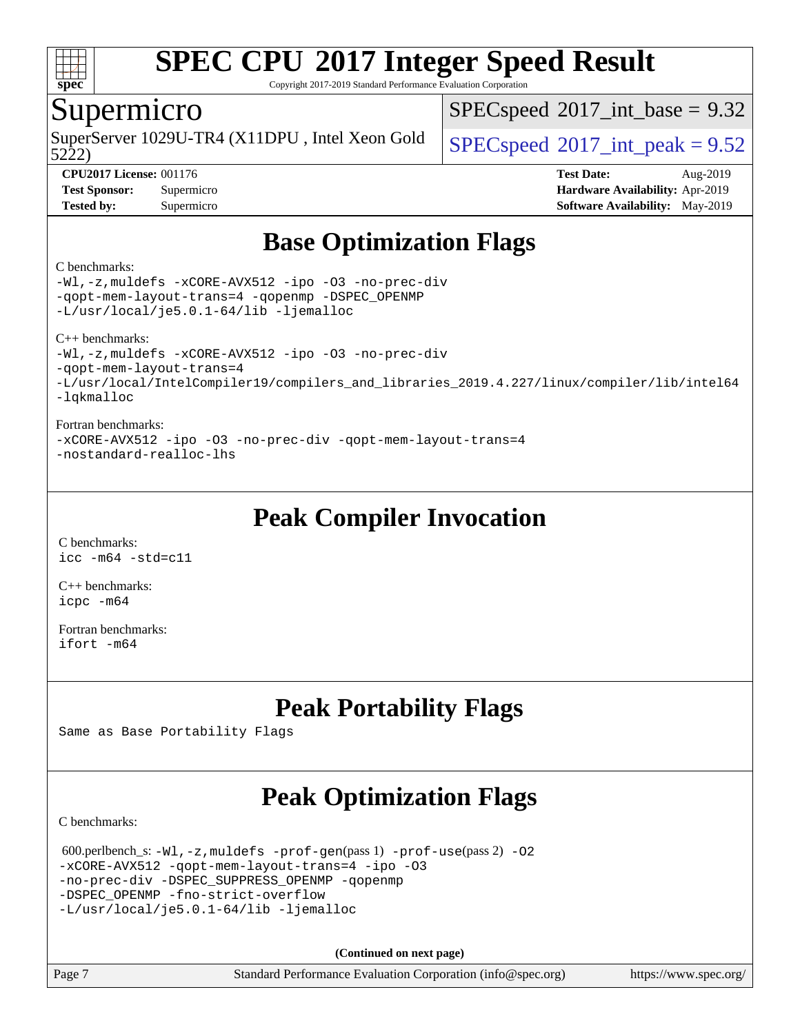

Copyright 2017-2019 Standard Performance Evaluation Corporation

## Supermicro

 $SPECspeed^{\circ}2017\_int\_base = 9.32$  $SPECspeed^{\circ}2017\_int\_base = 9.32$ 

5222)

SuperServer 1029U-TR4 (X11DPU, Intel Xeon Gold  $\big|$  [SPECspeed](http://www.spec.org/auto/cpu2017/Docs/result-fields.html#SPECspeed2017intpeak)<sup>®</sup>[2017\\_int\\_peak = 9](http://www.spec.org/auto/cpu2017/Docs/result-fields.html#SPECspeed2017intpeak).52

**[CPU2017 License:](http://www.spec.org/auto/cpu2017/Docs/result-fields.html#CPU2017License)** 001176 **[Test Date:](http://www.spec.org/auto/cpu2017/Docs/result-fields.html#TestDate)** Aug-2019 **[Test Sponsor:](http://www.spec.org/auto/cpu2017/Docs/result-fields.html#TestSponsor)** Supermicro **[Hardware Availability:](http://www.spec.org/auto/cpu2017/Docs/result-fields.html#HardwareAvailability)** Apr-2019 **[Tested by:](http://www.spec.org/auto/cpu2017/Docs/result-fields.html#Testedby)** Supermicro **[Software Availability:](http://www.spec.org/auto/cpu2017/Docs/result-fields.html#SoftwareAvailability)** May-2019

# **[Base Optimization Flags](http://www.spec.org/auto/cpu2017/Docs/result-fields.html#BaseOptimizationFlags)**

#### [C benchmarks](http://www.spec.org/auto/cpu2017/Docs/result-fields.html#Cbenchmarks):

[-Wl,-z,muldefs](http://www.spec.org/cpu2017/results/res2019q3/cpu2017-20190819-17116.flags.html#user_CCbase_link_force_multiple1_b4cbdb97b34bdee9ceefcfe54f4c8ea74255f0b02a4b23e853cdb0e18eb4525ac79b5a88067c842dd0ee6996c24547a27a4b99331201badda8798ef8a743f577) [-xCORE-AVX512](http://www.spec.org/cpu2017/results/res2019q3/cpu2017-20190819-17116.flags.html#user_CCbase_f-xCORE-AVX512) [-ipo](http://www.spec.org/cpu2017/results/res2019q3/cpu2017-20190819-17116.flags.html#user_CCbase_f-ipo) [-O3](http://www.spec.org/cpu2017/results/res2019q3/cpu2017-20190819-17116.flags.html#user_CCbase_f-O3) [-no-prec-div](http://www.spec.org/cpu2017/results/res2019q3/cpu2017-20190819-17116.flags.html#user_CCbase_f-no-prec-div) [-qopt-mem-layout-trans=4](http://www.spec.org/cpu2017/results/res2019q3/cpu2017-20190819-17116.flags.html#user_CCbase_f-qopt-mem-layout-trans_fa39e755916c150a61361b7846f310bcdf6f04e385ef281cadf3647acec3f0ae266d1a1d22d972a7087a248fd4e6ca390a3634700869573d231a252c784941a8) [-qopenmp](http://www.spec.org/cpu2017/results/res2019q3/cpu2017-20190819-17116.flags.html#user_CCbase_qopenmp_16be0c44f24f464004c6784a7acb94aca937f053568ce72f94b139a11c7c168634a55f6653758ddd83bcf7b8463e8028bb0b48b77bcddc6b78d5d95bb1df2967) [-DSPEC\\_OPENMP](http://www.spec.org/cpu2017/results/res2019q3/cpu2017-20190819-17116.flags.html#suite_CCbase_DSPEC_OPENMP) [-L/usr/local/je5.0.1-64/lib](http://www.spec.org/cpu2017/results/res2019q3/cpu2017-20190819-17116.flags.html#user_CCbase_jemalloc_link_path64_4b10a636b7bce113509b17f3bd0d6226c5fb2346b9178c2d0232c14f04ab830f976640479e5c33dc2bcbbdad86ecfb6634cbbd4418746f06f368b512fced5394) [-ljemalloc](http://www.spec.org/cpu2017/results/res2019q3/cpu2017-20190819-17116.flags.html#user_CCbase_jemalloc_link_lib_d1249b907c500fa1c0672f44f562e3d0f79738ae9e3c4a9c376d49f265a04b9c99b167ecedbf6711b3085be911c67ff61f150a17b3472be731631ba4d0471706) [C++ benchmarks](http://www.spec.org/auto/cpu2017/Docs/result-fields.html#CXXbenchmarks): [-Wl,-z,muldefs](http://www.spec.org/cpu2017/results/res2019q3/cpu2017-20190819-17116.flags.html#user_CXXbase_link_force_multiple1_b4cbdb97b34bdee9ceefcfe54f4c8ea74255f0b02a4b23e853cdb0e18eb4525ac79b5a88067c842dd0ee6996c24547a27a4b99331201badda8798ef8a743f577) [-xCORE-AVX512](http://www.spec.org/cpu2017/results/res2019q3/cpu2017-20190819-17116.flags.html#user_CXXbase_f-xCORE-AVX512) [-ipo](http://www.spec.org/cpu2017/results/res2019q3/cpu2017-20190819-17116.flags.html#user_CXXbase_f-ipo) [-O3](http://www.spec.org/cpu2017/results/res2019q3/cpu2017-20190819-17116.flags.html#user_CXXbase_f-O3) [-no-prec-div](http://www.spec.org/cpu2017/results/res2019q3/cpu2017-20190819-17116.flags.html#user_CXXbase_f-no-prec-div) [-qopt-mem-layout-trans=4](http://www.spec.org/cpu2017/results/res2019q3/cpu2017-20190819-17116.flags.html#user_CXXbase_f-qopt-mem-layout-trans_fa39e755916c150a61361b7846f310bcdf6f04e385ef281cadf3647acec3f0ae266d1a1d22d972a7087a248fd4e6ca390a3634700869573d231a252c784941a8) [-L/usr/local/IntelCompiler19/compilers\\_and\\_libraries\\_2019.4.227/linux/compiler/lib/intel64](http://www.spec.org/cpu2017/results/res2019q3/cpu2017-20190819-17116.flags.html#user_CXXbase_qkmalloc_link_0ffe0cb02c68ef1b443a077c7888c10c67ca0d1dd7138472156f06a085bbad385f78d49618ad55dca9db3b1608e84afc2f69b4003b1d1ca498a9fc1462ccefda)

[-lqkmalloc](http://www.spec.org/cpu2017/results/res2019q3/cpu2017-20190819-17116.flags.html#user_CXXbase_qkmalloc_link_lib_79a818439969f771c6bc311cfd333c00fc099dad35c030f5aab9dda831713d2015205805422f83de8875488a2991c0a156aaa600e1f9138f8fc37004abc96dc5)

#### [Fortran benchmarks:](http://www.spec.org/auto/cpu2017/Docs/result-fields.html#Fortranbenchmarks)

[-xCORE-AVX512](http://www.spec.org/cpu2017/results/res2019q3/cpu2017-20190819-17116.flags.html#user_FCbase_f-xCORE-AVX512) [-ipo](http://www.spec.org/cpu2017/results/res2019q3/cpu2017-20190819-17116.flags.html#user_FCbase_f-ipo) [-O3](http://www.spec.org/cpu2017/results/res2019q3/cpu2017-20190819-17116.flags.html#user_FCbase_f-O3) [-no-prec-div](http://www.spec.org/cpu2017/results/res2019q3/cpu2017-20190819-17116.flags.html#user_FCbase_f-no-prec-div) [-qopt-mem-layout-trans=4](http://www.spec.org/cpu2017/results/res2019q3/cpu2017-20190819-17116.flags.html#user_FCbase_f-qopt-mem-layout-trans_fa39e755916c150a61361b7846f310bcdf6f04e385ef281cadf3647acec3f0ae266d1a1d22d972a7087a248fd4e6ca390a3634700869573d231a252c784941a8) [-nostandard-realloc-lhs](http://www.spec.org/cpu2017/results/res2019q3/cpu2017-20190819-17116.flags.html#user_FCbase_f_2003_std_realloc_82b4557e90729c0f113870c07e44d33d6f5a304b4f63d4c15d2d0f1fab99f5daaed73bdb9275d9ae411527f28b936061aa8b9c8f2d63842963b95c9dd6426b8a)

# **[Peak Compiler Invocation](http://www.spec.org/auto/cpu2017/Docs/result-fields.html#PeakCompilerInvocation)**

[C benchmarks](http://www.spec.org/auto/cpu2017/Docs/result-fields.html#Cbenchmarks):  $\text{icc}$  -m64 -std=c11

[C++ benchmarks:](http://www.spec.org/auto/cpu2017/Docs/result-fields.html#CXXbenchmarks) [icpc -m64](http://www.spec.org/cpu2017/results/res2019q3/cpu2017-20190819-17116.flags.html#user_CXXpeak_intel_icpc_64bit_4ecb2543ae3f1412ef961e0650ca070fec7b7afdcd6ed48761b84423119d1bf6bdf5cad15b44d48e7256388bc77273b966e5eb805aefd121eb22e9299b2ec9d9)

[Fortran benchmarks](http://www.spec.org/auto/cpu2017/Docs/result-fields.html#Fortranbenchmarks): [ifort -m64](http://www.spec.org/cpu2017/results/res2019q3/cpu2017-20190819-17116.flags.html#user_FCpeak_intel_ifort_64bit_24f2bb282fbaeffd6157abe4f878425411749daecae9a33200eee2bee2fe76f3b89351d69a8130dd5949958ce389cf37ff59a95e7a40d588e8d3a57e0c3fd751)

# **[Peak Portability Flags](http://www.spec.org/auto/cpu2017/Docs/result-fields.html#PeakPortabilityFlags)**

Same as Base Portability Flags

# **[Peak Optimization Flags](http://www.spec.org/auto/cpu2017/Docs/result-fields.html#PeakOptimizationFlags)**

[C benchmarks](http://www.spec.org/auto/cpu2017/Docs/result-fields.html#Cbenchmarks):

```
 600.perlbench_s: -Wl,-z,muldefs -prof-gen(pass 1) -prof-use(pass 2) -O2
-xCORE-AVX512 -qopt-mem-layout-trans=4 -ipo -O3
-no-prec-div -DSPEC_SUPPRESS_OPENMP -qopenmp
-DSPEC_OPENMP -fno-strict-overflow
-L/usr/local/je5.0.1-64/lib -ljemalloc
```
**(Continued on next page)**

| Page 7 |  |
|--------|--|
|--------|--|

Page 7 Standard Performance Evaluation Corporation [\(info@spec.org\)](mailto:info@spec.org) <https://www.spec.org/>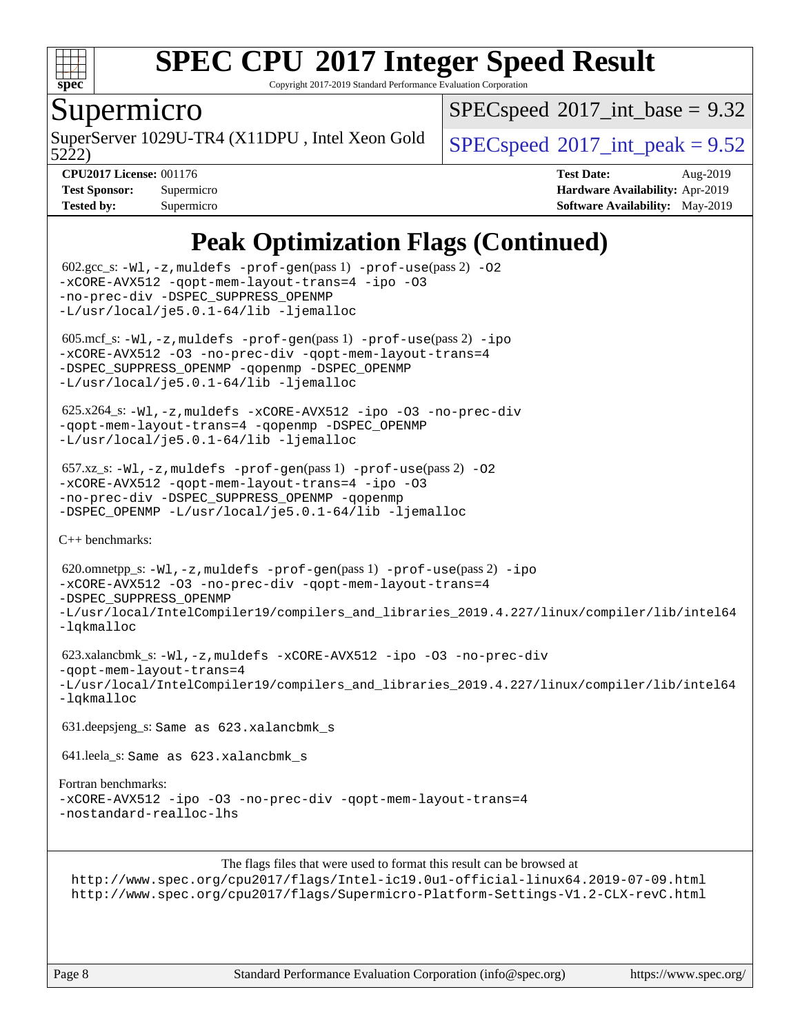

Copyright 2017-2019 Standard Performance Evaluation Corporation

### Supermicro

 $SPECspeed^{\circ}2017\_int\_base = 9.32$  $SPECspeed^{\circ}2017\_int\_base = 9.32$ 

5222)

SuperServer 1029U-TR4 (X11DPU, Intel Xeon Gold  $\big|$  [SPECspeed](http://www.spec.org/auto/cpu2017/Docs/result-fields.html#SPECspeed2017intpeak)<sup>®</sup>[2017\\_int\\_peak = 9](http://www.spec.org/auto/cpu2017/Docs/result-fields.html#SPECspeed2017intpeak).52

**[CPU2017 License:](http://www.spec.org/auto/cpu2017/Docs/result-fields.html#CPU2017License)** 001176 **[Test Date:](http://www.spec.org/auto/cpu2017/Docs/result-fields.html#TestDate)** Aug-2019 **[Test Sponsor:](http://www.spec.org/auto/cpu2017/Docs/result-fields.html#TestSponsor)** Supermicro **[Hardware Availability:](http://www.spec.org/auto/cpu2017/Docs/result-fields.html#HardwareAvailability)** Apr-2019 **[Tested by:](http://www.spec.org/auto/cpu2017/Docs/result-fields.html#Testedby)** Supermicro **[Software Availability:](http://www.spec.org/auto/cpu2017/Docs/result-fields.html#SoftwareAvailability)** May-2019

# **[Peak Optimization Flags \(Continued\)](http://www.spec.org/auto/cpu2017/Docs/result-fields.html#PeakOptimizationFlags)**

```
602.\text{sec}\_\text{s}: -W1, -z, muldefs -\text{prof-qen}(pass 1) -\text{prof-use}(pass 2)-O2
-xCORE-AVX512 -qopt-mem-layout-trans=4 -ipo -O3
-no-prec-div -DSPEC_SUPPRESS_OPENMP
-L/usr/local/je5.0.1-64/lib -ljemalloc
605.mcf_s: -W1, -z, muldefs -prof-gen(pass 1) -prof-ipo
-xCORE-AVX512 -O3 -no-prec-div -qopt-mem-layout-trans=4
-DSPEC_SUPPRESS_OPENMP -qopenmp -DSPEC_OPENMP
-L/usr/local/je5.0.1-64/lib -ljemalloc
 625.x264_s: -Wl,-z,muldefs -xCORE-AVX512 -ipo -O3 -no-prec-div
-qopt-mem-layout-trans=4 -qopenmp -DSPEC_OPENMP
-L/usr/local/je5.0.1-64/lib -ljemalloc
657.xz_s: -Wl, -z, muldefs -prof-qen(pass 1)-prof-use(pass 2) -02
-xCORE-AVX512 -qopt-mem-layout-trans=4 -ipo -O3
-no-prec-div -DSPEC_SUPPRESS_OPENMP -qopenmp
-DSPEC_OPENMP -L/usr/local/je5.0.1-64/lib -ljemalloc
C++ benchmarks: 
 620.omnetpp_s: -Wl,-z,muldefs -prof-gen(pass 1) -prof-use(pass 2) -ipo
-xCORE-AVX512 -O3 -no-prec-div -qopt-mem-layout-trans=4
-DSPEC_SUPPRESS_OPENMP
-L/usr/local/IntelCompiler19/compilers_and_libraries_2019.4.227/linux/compiler/lib/intel64
-lqkmalloc
 623.xalancbmk_s: -Wl,-z,muldefs -xCORE-AVX512 -ipo -O3 -no-prec-div
-qopt-mem-layout-trans=4
-L/usr/local/IntelCompiler19/compilers_and_libraries_2019.4.227/linux/compiler/lib/intel64
-lqkmalloc
 631.deepsjeng_s: Same as 623.xalancbmk_s
 641.leela_s: Same as 623.xalancbmk_s
Fortran benchmarks: 
-xCORE-AVX512 -ipo -O3 -no-prec-div -qopt-mem-layout-trans=4
-nostandard-realloc-lhs
                      The flags files that were used to format this result can be browsed at
 http://www.spec.org/cpu2017/flags/Intel-ic19.0u1-official-linux64.2019-07-09.html
 http://www.spec.org/cpu2017/flags/Supermicro-Platform-Settings-V1.2-CLX-revC.html
```